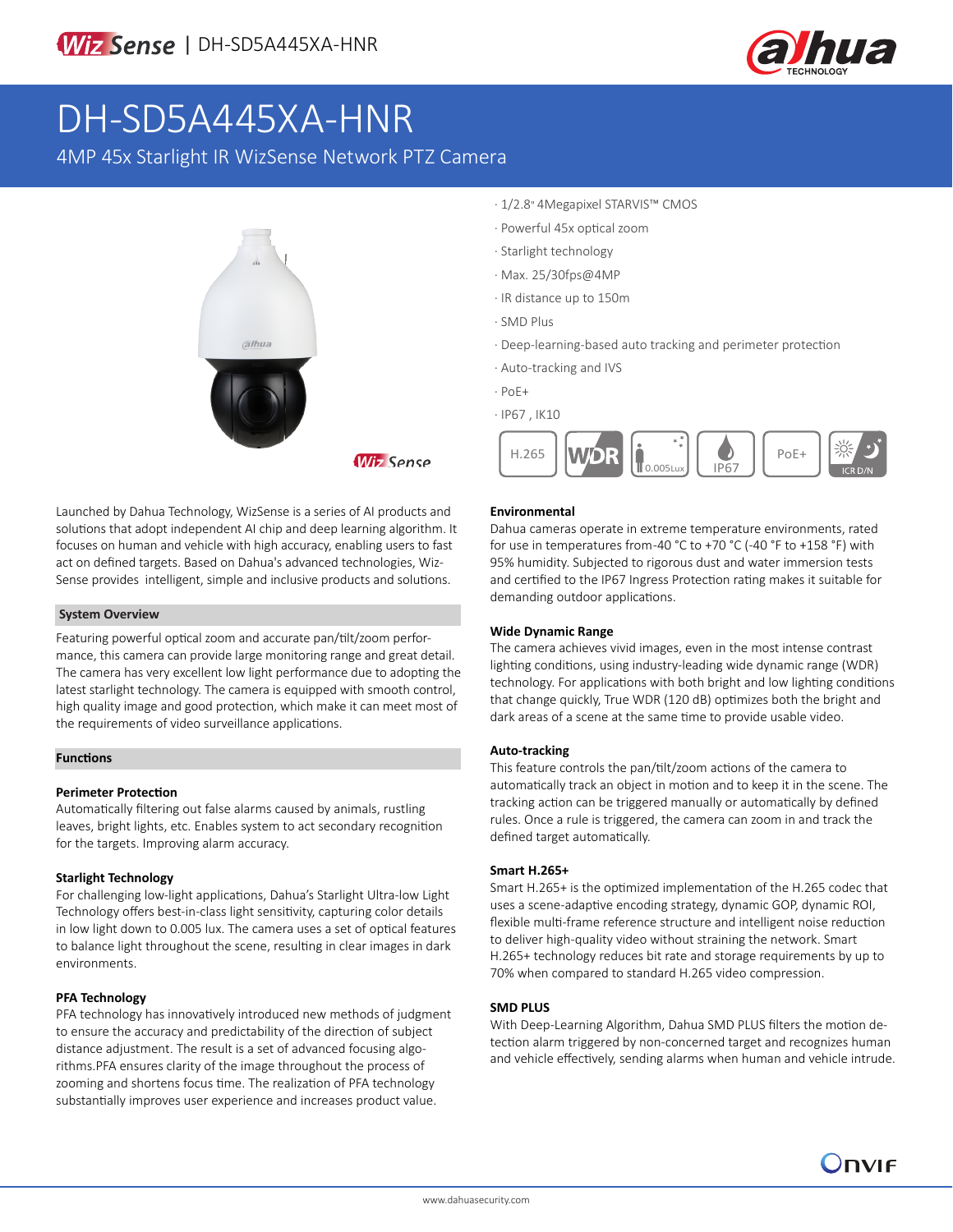

# DH-SD5A445XA-HNR

4MP 45x Starlight IR WizSense Network PTZ Camera



Launched by Dahua Technology, WizSense is a series of AI products and solutions that adopt independent AI chip and deep learning algorithm. It focuses on human and vehicle with high accuracy, enabling users to fast act on defined targets. Based on Dahua's advanced technologies, Wiz-Sense provides intelligent, simple and inclusive products and solutions.

#### **System Overview**

Featuring powerful optical zoom and accurate pan/tilt/zoom performance, this camera can provide large monitoring range and great detail. The camera has very excellent low light performance due to adopting the latest starlight technology. The camera is equipped with smooth control, high quality image and good protection, which make it can meet most of the requirements of video surveillance applications.

#### **Functions**

#### **Perimeter Protection**

Automatically filtering out false alarms caused by animals, rustling leaves, bright lights, etc. Enables system to act secondary recognition for the targets. Improving alarm accuracy.

#### **Starlight Technology**

For challenging low-light applications, Dahua's Starlight Ultra-low Light Technology offers best-in-class light sensitivity, capturing color details in low light down to 0.005 lux. The camera uses a set of optical features to balance light throughout the scene, resulting in clear images in dark environments.

#### **PFA Technology**

PFA technology has innovatively introduced new methods of judgment to ensure the accuracy and predictability of the direction of subject distance adjustment. The result is a set of advanced focusing algorithms.PFA ensures clarity of the image throughout the process of zooming and shortens focus time. The realization of PFA technology substantially improves user experience and increases product value.

- · 1/2.8" 4Megapixel STARVIS™ CMOS
- · Powerful 45x optical zoom
- · Starlight technology
- · Max. 25/30fps@4MP
- · IR distance up to 150m
- · SMD Plus
- · Deep-learning-based auto tracking and perimeter protection
- · Auto-tracking and IVS
- · PoE+
- · IP67 , IK10



#### **Environmental**

Dahua cameras operate in extreme temperature environments, rated for use in temperatures from -40 °C to +70 °C (-40 °F to +158 °F) with 95% humidity. Subjected to rigorous dust and water immersion tests and certified to the IP67 Ingress Protection rating makes it suitable for demanding outdoor applications.

#### **Wide Dynamic Range**

The camera achieves vivid images, even in the most intense contrast lighting conditions, using industry-leading wide dynamic range (WDR) technology. For applications with both bright and low lighting conditions that change quickly, True WDR (120 dB) optimizes both the bright and dark areas of a scene at the same time to provide usable video.

#### **Auto-tracking**

This feature controls the pan/tilt/zoom actions of the camera to automatically track an object in motion and to keep it in the scene. The tracking action can be triggered manually or automatically by defined rules. Once a rule is triggered, the camera can zoom in and track the defined target automatically.

#### **Smart H.265+**

Smart H.265+ is the optimized implementation of the H.265 codec that uses a scene-adaptive encoding strategy, dynamic GOP, dynamic ROI, flexible multi-frame reference structure and intelligent noise reduction to deliver high-quality video without straining the network. Smart H.265+ technology reduces bit rate and storage requirements by up to 70% when compared to standard H.265 video compression.

#### **SMD PLUS**

With Deep-Learning Algorithm, Dahua SMD PLUS filters the motion detection alarm triggered by non-concerned target and recognizes human and vehicle effectively, sending alarms when human and vehicle intrude.

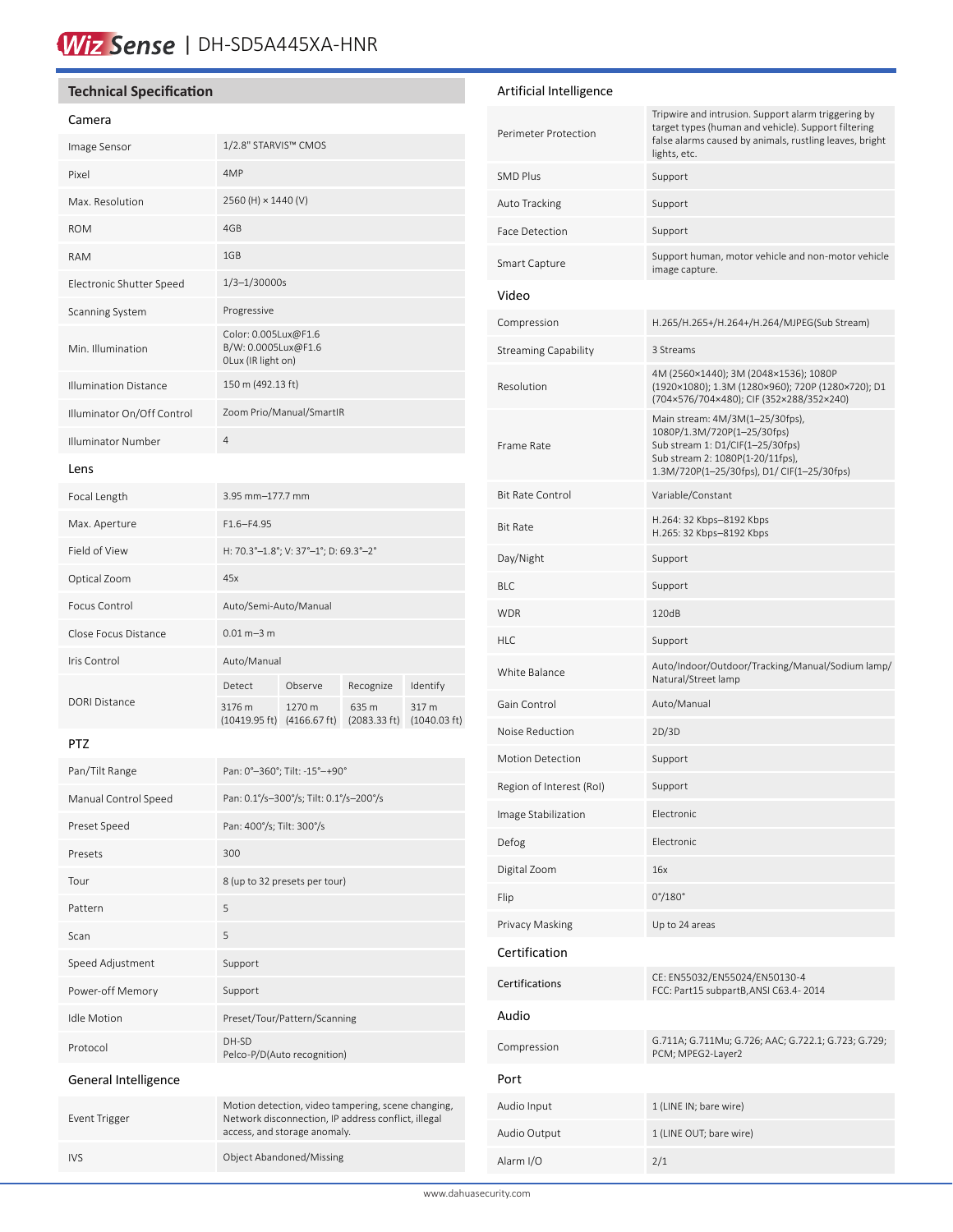### Wiz Sense | DH-SD5A445XA-HNR

#### **Technical Specification**

#### Camera

| Image Sensor                 | 1/2.8" STARVIS™ CMOS                                              |                        |                       |                                 |
|------------------------------|-------------------------------------------------------------------|------------------------|-----------------------|---------------------------------|
| Pixel                        | 4MP                                                               |                        |                       |                                 |
| Max. Resolution              | 2560 (H) × 1440 (V)                                               |                        |                       |                                 |
| <b>ROM</b>                   | 4GB                                                               |                        |                       |                                 |
| <b>RAM</b>                   | 1GB                                                               |                        |                       |                                 |
| Electronic Shutter Speed     | $1/3 - 1/30000s$                                                  |                        |                       |                                 |
| Scanning System              | Progressive                                                       |                        |                       |                                 |
| Min. Illumination            | Color: 0.005Lux@F1.6<br>B/W: 0.0005Lux@F1.6<br>OLux (IR light on) |                        |                       |                                 |
| <b>Illumination Distance</b> | 150 m (492.13 ft)                                                 |                        |                       |                                 |
| Illuminator On/Off Control   | Zoom Prio/Manual/SmartIR                                          |                        |                       |                                 |
| <b>Illuminator Number</b>    | $\overline{4}$                                                    |                        |                       |                                 |
| Lens                         |                                                                   |                        |                       |                                 |
| Focal Length                 | 3.95 mm-177.7 mm                                                  |                        |                       |                                 |
| Max. Aperture                | $F1.6 - F4.95$                                                    |                        |                       |                                 |
| Field of View                | H: 70.3°-1.8°; V: 37°-1°; D: 69.3°-2°                             |                        |                       |                                 |
| Optical Zoom                 | 45x                                                               |                        |                       |                                 |
| Focus Control                | Auto/Semi-Auto/Manual                                             |                        |                       |                                 |
| Close Focus Distance         | $0.01 m - 3 m$                                                    |                        |                       |                                 |
| Iris Control                 | Auto/Manual                                                       |                        |                       |                                 |
| <b>DORI Distance</b>         | Detect                                                            | Observe                | Recognize             | Identify                        |
|                              | 3176 m<br>(10419.95 ft)                                           | 1270 m<br>(4166.67 ft) | 635 m<br>(2083.33 ft) | 317 m<br>$(1040.03 \text{ ft})$ |

#### PTZ

| Pan/Tilt Range       | Pan: 0°-360°; Tilt: -15°-+90°                                                                             |
|----------------------|-----------------------------------------------------------------------------------------------------------|
| Manual Control Speed | Pan: 0.1%-300%; Tilt: 0.1%-200%                                                                           |
| Preset Speed         | Pan: 400°/s; Tilt: 300°/s                                                                                 |
| Presets              | 300                                                                                                       |
| Tour                 | 8 (up to 32 presets per tour)                                                                             |
| Pattern              | 5                                                                                                         |
| Scan                 | 5                                                                                                         |
| Speed Adjustment     | Support                                                                                                   |
| Power-off Memory     | Support                                                                                                   |
| <b>Idle Motion</b>   | Preset/Tour/Pattern/Scanning                                                                              |
| Protocol             | DH-SD<br>Pelco-P/D(Auto recognition)                                                                      |
| General Intelligence |                                                                                                           |
| Event Trigger        | Motion detection, video tampering, scene changing,<br>Network disconnection, IP address conflict, illegal |

access, and storage anomaly.

IVS Object Abandoned/Missing

#### Artificial Intelligence

| Perimeter Protection     | Tripwire and intrusion. Support alarm triggering by<br>target types (human and vehicle). Support filtering<br>false alarms caused by animals, rustling leaves, bright<br>lights, etc. |
|--------------------------|---------------------------------------------------------------------------------------------------------------------------------------------------------------------------------------|
| SMD Plus                 | Support                                                                                                                                                                               |
| Auto Tracking            | Support                                                                                                                                                                               |
| Face Detection           | Support                                                                                                                                                                               |
| Smart Capture            | Support human, motor vehicle and non-motor vehicle<br>image capture.                                                                                                                  |
| Video                    |                                                                                                                                                                                       |
| Compression              | H.265/H.265+/H.264+/H.264/MJPEG(Sub Stream)                                                                                                                                           |
| Streaming Capability     | 3 Streams                                                                                                                                                                             |
| Resolution               | 4M (2560×1440); 3M (2048×1536); 1080P<br>(1920×1080); 1.3M (1280×960); 720P (1280×720); D1<br>(704×576/704×480); CIF (352×288/352×240)                                                |
| Frame Rate               | Main stream: 4M/3M(1-25/30fps),<br>1080P/1.3M/720P(1-25/30fps)<br>Sub stream 1: D1/CIF(1-25/30fps)<br>Sub stream 2: 1080P(1-20/11fps),<br>1.3M/720P(1-25/30fps), D1/ CIF(1-25/30fps)  |
| <b>Bit Rate Control</b>  | Variable/Constant                                                                                                                                                                     |
| Bit Rate                 | H.264: 32 Kbps-8192 Kbps<br>H.265: 32 Kbps-8192 Kbps                                                                                                                                  |
| Day/Night                | Support                                                                                                                                                                               |
| BLC                      | Support                                                                                                                                                                               |
| WDR                      | 120dB                                                                                                                                                                                 |
| HLC                      | Support                                                                                                                                                                               |
| White Balance            | Auto/Indoor/Outdoor/Tracking/Manual/Sodium lamp/<br>Natural/Street lamp                                                                                                               |
| Gain Control             | Auto/Manual                                                                                                                                                                           |
| Noise Reduction          | 2D/3D                                                                                                                                                                                 |
| <b>Motion Detection</b>  | Support                                                                                                                                                                               |
| Region of Interest (RoI) | Support                                                                                                                                                                               |
| Image Stabilization      | Electronic                                                                                                                                                                            |
| Defog                    | Electronic                                                                                                                                                                            |
| Digital Zoom             | 16x                                                                                                                                                                                   |
| Flip                     | $0^{\circ}/180^{\circ}$                                                                                                                                                               |
| Privacy Masking          | Up to 24 areas                                                                                                                                                                        |
| Certification            |                                                                                                                                                                                       |
| Certifications           | CE: EN55032/EN55024/EN50130-4<br>FCC: Part15 subpartB, ANSI C63.4-2014                                                                                                                |
| Audio                    |                                                                                                                                                                                       |
| Compression              | G.711A; G.711Mu; G.726; AAC; G.722.1; G.723; G.729;<br>PCM; MPEG2-Layer2                                                                                                              |
| Port                     |                                                                                                                                                                                       |
| Audio Input              | 1 (LINE IN; bare wire)                                                                                                                                                                |
| Audio Output             | 1 (LINE OUT; bare wire)                                                                                                                                                               |
| Alarm I/O                | 2/1                                                                                                                                                                                   |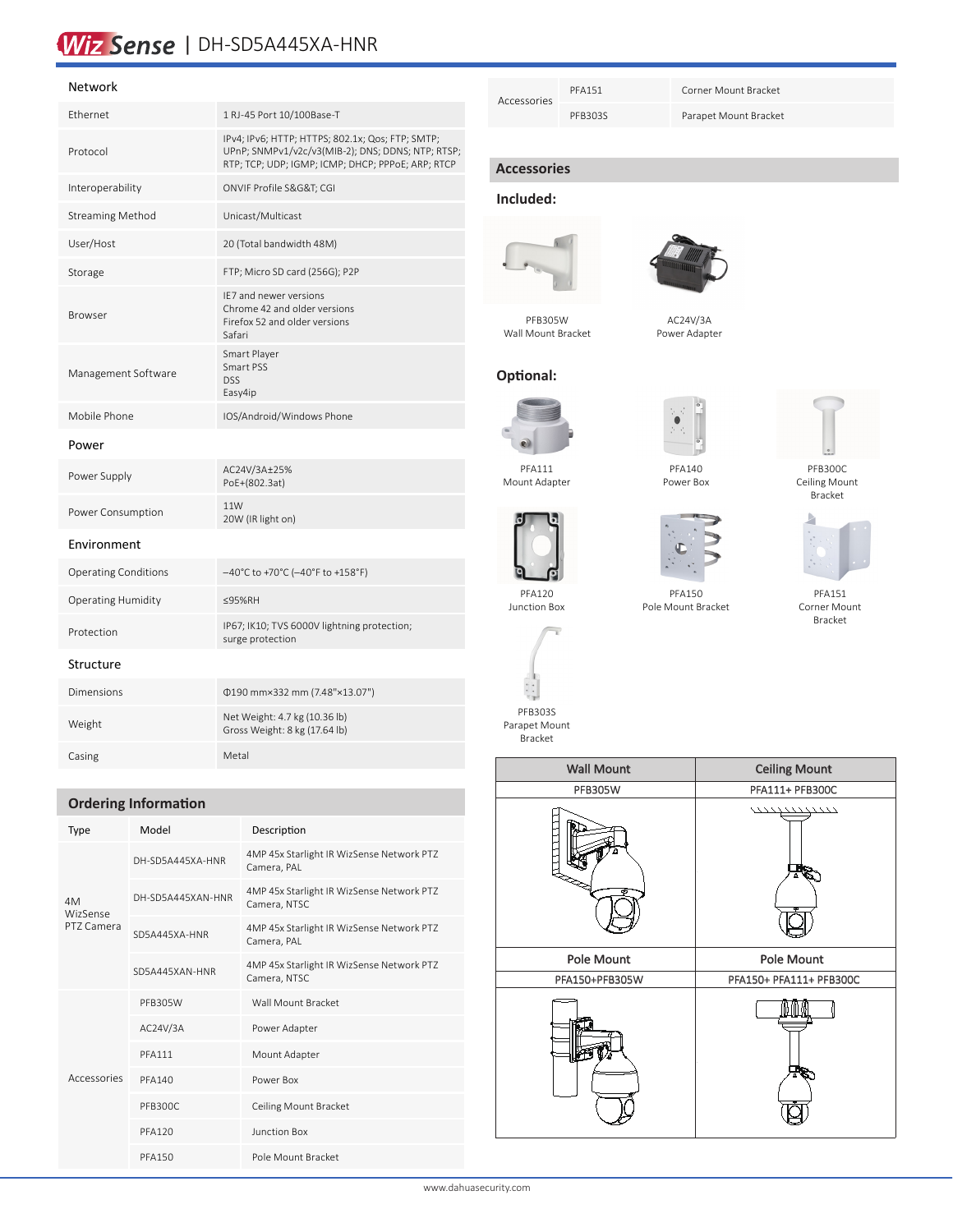## Wiz Sense | DH-SD5A445XA-HNR

#### Network

| Ethernet                    | 1 RJ-45 Port 10/100Base-T                                                                                                                                  |
|-----------------------------|------------------------------------------------------------------------------------------------------------------------------------------------------------|
| Protocol                    | IPv4; IPv6; HTTP; HTTPS; 802.1x; Qos; FTP; SMTP;<br>UPnP; SNMPv1/v2c/v3(MIB-2); DNS; DDNS; NTP; RTSP;<br>RTP; TCP; UDP; IGMP; ICMP; DHCP; PPPoE; ARP; RTCP |
| Interoperability            | ONVIF Profile S&G&T CGI                                                                                                                                    |
| <b>Streaming Method</b>     | Unicast/Multicast                                                                                                                                          |
| User/Host                   | 20 (Total bandwidth 48M)                                                                                                                                   |
| Storage                     | FTP; Micro SD card (256G); P2P                                                                                                                             |
| Browser                     | IE7 and newer versions<br>Chrome 42 and older versions<br>Firefox 52 and older versions<br>Safari                                                          |
| Management Software         | Smart Player<br>Smart PSS<br><b>DSS</b><br>Easy4ip                                                                                                         |
| Mobile Phone                | IOS/Android/Windows Phone                                                                                                                                  |
| Power                       |                                                                                                                                                            |
| Power Supply                | AC24V/3A±25%<br>PoE+(802.3at)                                                                                                                              |
| Power Consumption           | 11W<br>20W (IR light on)                                                                                                                                   |
| Environment                 |                                                                                                                                                            |
| <b>Operating Conditions</b> | $-40^{\circ}$ C to +70 $^{\circ}$ C ( $-40^{\circ}$ F to +158 $^{\circ}$ F)                                                                                |
| <b>Operating Humidity</b>   | ≤95%RH                                                                                                                                                     |
| Protection                  | IP67; IK10; TVS 6000V lightning protection;<br>surge protection                                                                                            |
| Structure                   |                                                                                                                                                            |
| <b>Dimensions</b>           | 0190 mm×332 mm (7.48"×13.07")                                                                                                                              |
| Weight                      | Net Weight: 4.7 kg (10.36 lb)<br>Gross Weight: 8 kg (17.64 lb)                                                                                             |
| Casing                      | Metal                                                                                                                                                      |

#### **Ordering Information**

| Type                         | Model             | Description                                               |
|------------------------------|-------------------|-----------------------------------------------------------|
| 4M<br>WizSense<br>PT7 Camera | DH-SD5A445XA-HNR  | 4MP 45x Starlight IR WizSense Network PTZ<br>Camera, PAL  |
|                              | DH-SD5A445XAN-HNR | 4MP 45x Starlight IR WizSense Network PTZ<br>Camera, NTSC |
|                              | SD5A445XA-HNR     | 4MP 45x Starlight IR WizSense Network PTZ<br>Camera, PAL  |
|                              | SD5A445XAN-HNR    | 4MP 45x Starlight IR WizSense Network PTZ<br>Camera, NTSC |
| Accessories                  | PFB305W           | Wall Mount Bracket                                        |
|                              | AC24V/3A          | Power Adapter                                             |
|                              | <b>PFA111</b>     | Mount Adapter                                             |
|                              | <b>PFA140</b>     | Power Box                                                 |
|                              | PFB300C           | Ceiling Mount Bracket                                     |
|                              | <b>PFA120</b>     | Junction Box                                              |
|                              | <b>PFA150</b>     | Pole Mount Bracket                                        |

| Accessories | <b>PFA151</b> | Corner Mount Bracket  |
|-------------|---------------|-----------------------|
|             | PFB303S       | Parapet Mount Bracket |

#### **Accessories**

#### **Included:**



PFB305W



AC24V/3A

Wall Mount Bracket

### Power Adapter

#### **Optional:**



Mount Adapter

PFA120 Junction Box



Power Box



PFB300C Ceiling Mount Bracket



PFA151 Corner Mount Bracket

PFA150 Pole Mount Bracket





| <b>Wall Mount</b> | <b>Ceiling Mount</b>    |
|-------------------|-------------------------|
| <b>PFB305W</b>    | PFA111+ PFB300C         |
|                   | \\\\\\\\\\\\\\\\\<br>Eş |
| <b>Pole Mount</b> | <b>Pole Mount</b>       |
| PFA150+PFB305W    | PFA150+ PFA111+ PFB300C |
|                   | Tв                      |